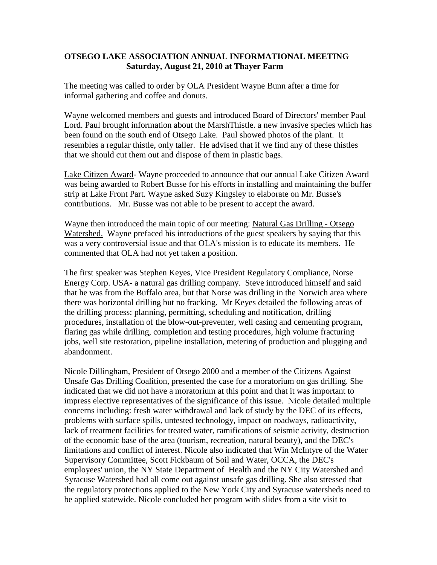## **OTSEGO LAKE ASSOCIATION ANNUAL INFORMATIONAL MEETING Saturday, August 21, 2010 at Thayer Farm**

The meeting was called to order by OLA President Wayne Bunn after a time for informal gathering and coffee and donuts.

Wayne welcomed members and guests and introduced Board of Directors' member Paul Lord. Paul brought information about the MarshThistle. a new invasive species which has been found on the south end of Otsego Lake. Paul showed photos of the plant. It resembles a regular thistle, only taller. He advised that if we find any of these thistles that we should cut them out and dispose of them in plastic bags.

Lake Citizen Award- Wayne proceeded to announce that our annual Lake Citizen Award was being awarded to Robert Busse for his efforts in installing and maintaining the buffer strip at Lake Front Part. Wayne asked Suzy Kingsley to elaborate on Mr. Busse's contributions. Mr. Busse was not able to be present to accept the award.

Wayne then introduced the main topic of our meeting: Natural Gas Drilling - Otsego Watershed. Wayne prefaced his introductions of the guest speakers by saying that this was a very controversial issue and that OLA's mission is to educate its members. He commented that OLA had not yet taken a position.

The first speaker was Stephen Keyes, Vice President Regulatory Compliance, Norse Energy Corp. USA- a natural gas drilling company. Steve introduced himself and said that he was from the Buffalo area, but that Norse was drilling in the Norwich area where there was horizontal drilling but no fracking. Mr Keyes detailed the following areas of the drilling process: planning, permitting, scheduling and notification, drilling procedures, installation of the blow-out-preventer, well casing and cementing program, flaring gas while drilling, completion and testing procedures, high volume fracturing jobs, well site restoration, pipeline installation, metering of production and plugging and abandonment.

Nicole Dillingham, President of Otsego 2000 and a member of the Citizens Against Unsafe Gas Drilling Coalition, presented the case for a moratorium on gas drilling. She indicated that we did not have a moratorium at this point and that it was important to impress elective representatives of the significance of this issue. Nicole detailed multiple concerns including: fresh water withdrawal and lack of study by the DEC of its effects, problems with surface spills, untested technology, impact on roadways, radioactivity, lack of treatment facilities for treated water, ramifications of seismic activity, destruction of the economic base of the area (tourism, recreation, natural beauty), and the DEC's limitations and conflict of interest. Nicole also indicated that Win McIntyre of the Water Supervisory Committee, Scott Fickbaum of Soil and Water, OCCA, the DEC's employees' union, the NY State Department of Health and the NY City Watershed and Syracuse Watershed had all come out against unsafe gas drilling. She also stressed that the regulatory protections applied to the New York City and Syracuse watersheds need to be applied statewide. Nicole concluded her program with slides from a site visit to